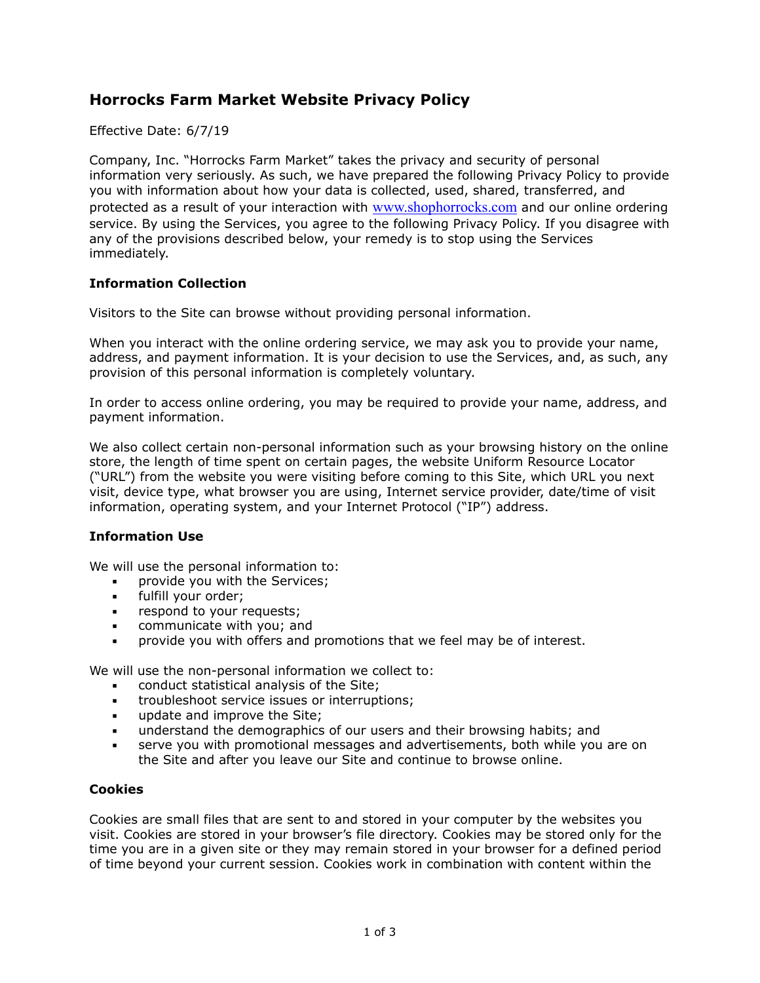# **Horrocks Farm Market Website Privacy Policy**

Effective Date: 6/7/19

Company, Inc. "Horrocks Farm Market" takes the privacy and security of personal information very seriously. As such, we have prepared the following Privacy Policy to provide you with information about how your data is collected, used, shared, transferred, and protected as a result of your interaction with [www.shophorrocks.com](http://www.shophorrocks.com) and our online ordering service. By using the Services, you agree to the following Privacy Policy. If you disagree with any of the provisions described below, your remedy is to stop using the Services immediately.

# **Information Collection**

Visitors to the Site can browse without providing personal information.

When you interact with the online ordering service, we may ask you to provide your name, address, and payment information. It is your decision to use the Services, and, as such, any provision of this personal information is completely voluntary.

In order to access online ordering, you may be required to provide your name, address, and payment information.

We also collect certain non-personal information such as your browsing history on the online store, the length of time spent on certain pages, the website Uniform Resource Locator ("URL") from the website you were visiting before coming to this Site, which URL you next visit, device type, what browser you are using, Internet service provider, date/time of visit information, operating system, and your Internet Protocol ("IP") address.

#### **Information Use**

We will use the personal information to:

- **•** provide you with the Services;<br>• fulfill your order:
- fulfill your order:
- **•** respond to your requests;
- communicate with you; and
- provide you with offers and promotions that we feel may be of interest.

We will use the non-personal information we collect to:

- conduct statistical analysis of the Site;
- troubleshoot service issues or interruptions;
- **■** update and improve the Site:
- understand the demographics of our users and their browsing habits; and
- serve you with promotional messages and advertisements, both while you are on the Site and after you leave our Site and continue to browse online.

#### **Cookies**

Cookies are small files that are sent to and stored in your computer by the websites you visit. Cookies are stored in your browser's file directory. Cookies may be stored only for the time you are in a given site or they may remain stored in your browser for a defined period of time beyond your current session. Cookies work in combination with content within the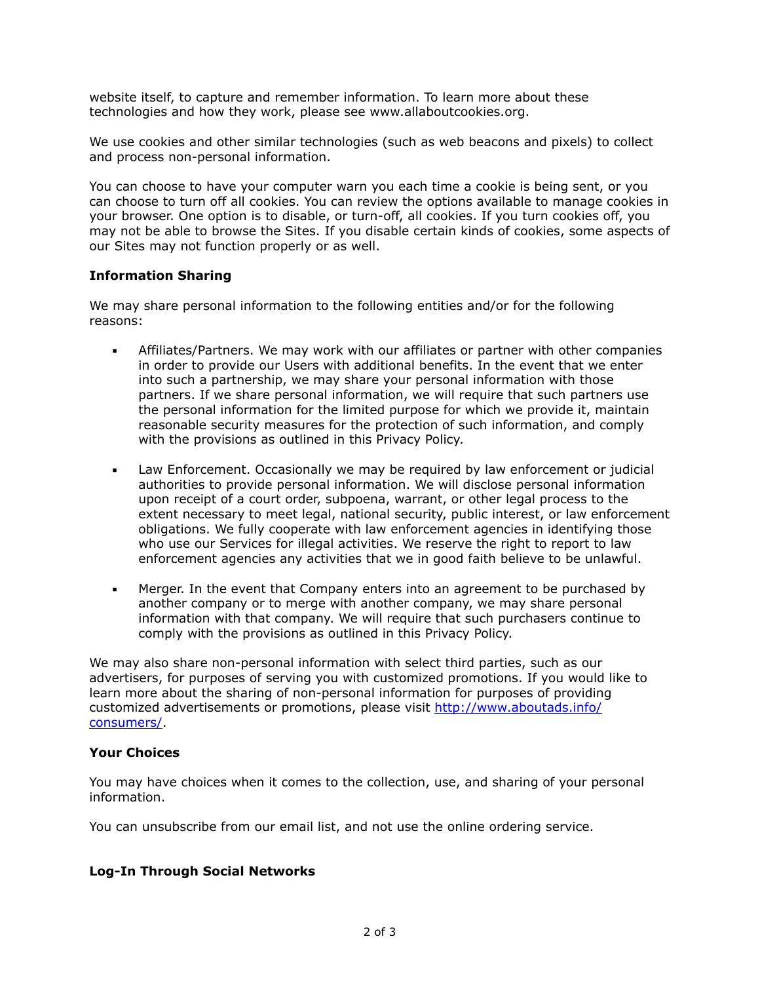website itself, to capture and remember information. To learn more about these technologies and how they work, please see www.allaboutcookies.org.

We use cookies and other similar technologies (such as web beacons and pixels) to collect and process non-personal information.

You can choose to have your computer warn you each time a cookie is being sent, or you can choose to turn off all cookies. You can review the options available to manage cookies in your browser. One option is to disable, or turn-off, all cookies. If you turn cookies off, you may not be able to browse the Sites. If you disable certain kinds of cookies, some aspects of our Sites may not function properly or as well.

## **Information Sharing**

We may share personal information to the following entities and/or for the following reasons:

- Affiliates/Partners. We may work with our affiliates or partner with other companies in order to provide our Users with additional benefits. In the event that we enter into such a partnership, we may share your personal information with those partners. If we share personal information, we will require that such partners use the personal information for the limited purpose for which we provide it, maintain reasonable security measures for the protection of such information, and comply with the provisions as outlined in this Privacy Policy.
- **•** Law Enforcement. Occasionally we may be required by law enforcement or judicial authorities to provide personal information. We will disclose personal information upon receipt of a court order, subpoena, warrant, or other legal process to the extent necessary to meet legal, national security, public interest, or law enforcement obligations. We fully cooperate with law enforcement agencies in identifying those who use our Services for illegal activities. We reserve the right to report to law enforcement agencies any activities that we in good faith believe to be unlawful.
- **•** Merger. In the event that Company enters into an agreement to be purchased by another company or to merge with another company, we may share personal information with that company. We will require that such purchasers continue to comply with the provisions as outlined in this Privacy Policy.

We may also share non-personal information with select third parties, such as our advertisers, for purposes of serving you with customized promotions. If you would like to learn more about the sharing of non-personal information for purposes of providing [customized advertisements or promotions, please visit http://www.aboutads.info/](http://www.aboutads.info/consumers/) consumers/.

#### **Your Choices**

You may have choices when it comes to the collection, use, and sharing of your personal information.

You can unsubscribe from our email list, and not use the online ordering service.

#### **Log-In Through Social Networks**